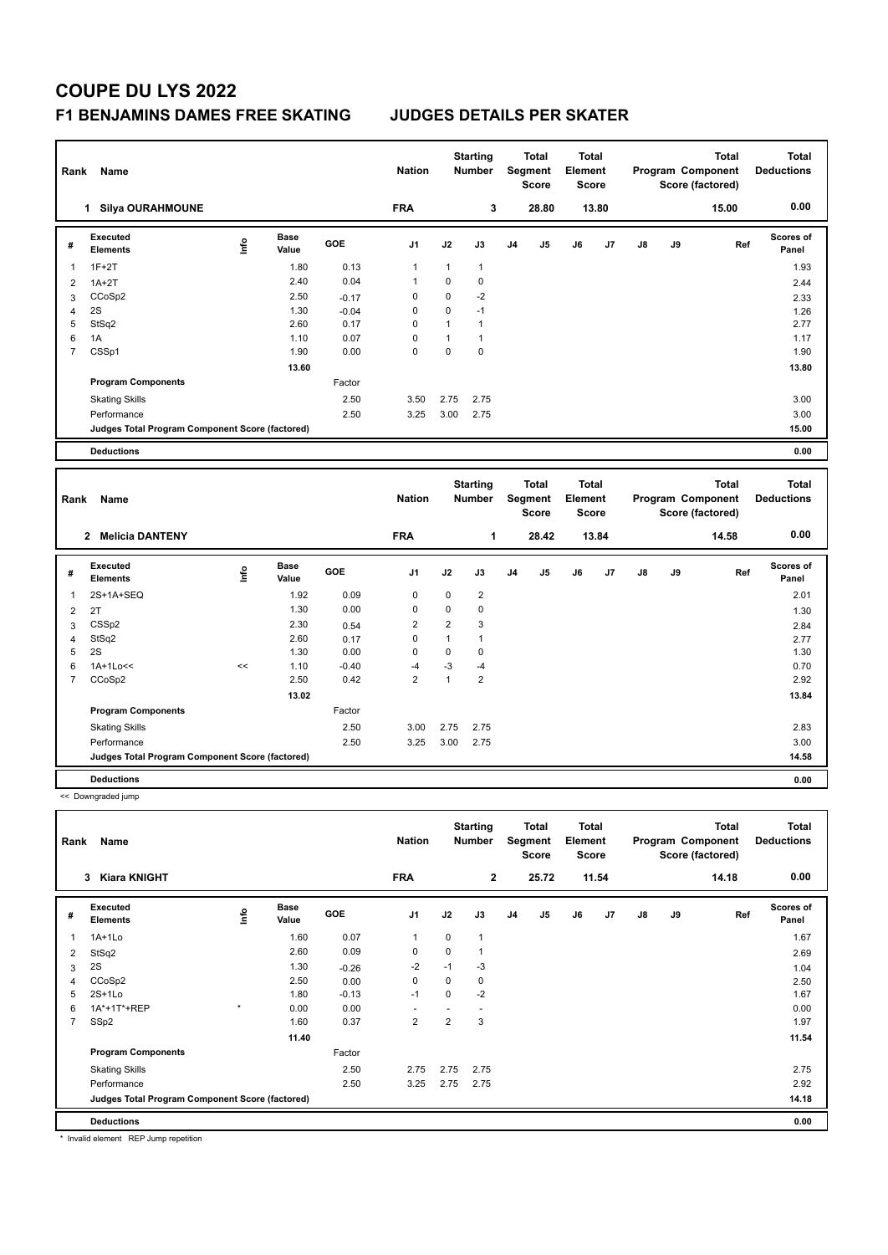# **COUPE DU LYS 2022**

### **F1 BENJAMINS DAMES FREE SKATING JUDGES DETAILS PER SKATER**

|                | Rank<br>Name                                    |      |                      |         | <b>Nation</b>  |               | <b>Starting</b><br><b>Number</b> |                                         | <b>Total</b><br><b>Segment</b><br><b>Score</b> | <b>Total</b><br>Element<br><b>Score</b> |       |                   |    | <b>Total</b><br>Program Component<br>Score (factored) |     | <b>Total</b><br><b>Deductions</b> |
|----------------|-------------------------------------------------|------|----------------------|---------|----------------|---------------|----------------------------------|-----------------------------------------|------------------------------------------------|-----------------------------------------|-------|-------------------|----|-------------------------------------------------------|-----|-----------------------------------|
|                | 1 Silya OURAHMOUNE                              |      |                      |         | <b>FRA</b>     |               | 3                                |                                         | 28.80                                          |                                         | 13.80 |                   |    | 15.00                                                 |     | 0.00                              |
| #              | Executed<br>Elements                            | Lnfo | <b>Base</b><br>Value | GOE     | J1             | J2            | J3                               | J <sub>4</sub>                          | J5                                             | J6                                      | J7    | J8                | J9 |                                                       | Ref | <b>Scores of</b><br>Panel         |
| $\mathbf{1}$   | $1F+2T$                                         |      | 1.80                 | 0.13    | $\mathbf{1}$   | 1             | $\mathbf{1}$                     |                                         |                                                |                                         |       |                   |    |                                                       |     | 1.93                              |
| $\overline{2}$ | $1A+2T$                                         |      | 2.40                 | 0.04    | $\mathbf{1}$   | 0             | $\mathbf 0$                      |                                         |                                                |                                         |       |                   |    |                                                       |     | 2.44                              |
| 3              | CCoSp2                                          |      | 2.50                 | $-0.17$ | 0              | 0             | $-2$                             |                                         |                                                |                                         |       |                   |    |                                                       |     | 2.33                              |
| $\overline{4}$ | 2S                                              |      | 1.30                 | $-0.04$ | $\mathbf 0$    | 0             | $-1$                             |                                         |                                                |                                         |       |                   |    |                                                       |     | 1.26                              |
| 5              | StSq2                                           |      | 2.60                 | 0.17    | $\mathbf 0$    | $\mathbf{1}$  | $\mathbf{1}$                     |                                         |                                                |                                         |       |                   |    |                                                       |     | 2.77                              |
| 6              | 1A                                              |      | 1.10                 | 0.07    | $\mathbf 0$    | $\mathbf{1}$  | $\overline{1}$                   |                                         |                                                |                                         |       |                   |    |                                                       |     | 1.17                              |
| $\overline{7}$ | CSSp1                                           |      | 1.90                 | 0.00    | $\Omega$       | 0             | $\mathbf 0$                      |                                         |                                                |                                         |       |                   |    |                                                       |     | 1.90                              |
|                |                                                 |      | 13.60                |         |                |               |                                  |                                         |                                                |                                         |       |                   |    |                                                       |     | 13.80                             |
|                | <b>Program Components</b>                       |      |                      | Factor  |                |               |                                  |                                         |                                                |                                         |       |                   |    |                                                       |     |                                   |
|                | <b>Skating Skills</b>                           |      |                      | 2.50    | 3.50           | 2.75          | 2.75                             |                                         |                                                |                                         |       |                   |    |                                                       |     | 3.00                              |
|                | Performance                                     |      |                      | 2.50    | 3.25           | 3.00          | 2.75                             |                                         |                                                |                                         |       |                   |    |                                                       |     | 3.00                              |
|                | Judges Total Program Component Score (factored) |      |                      |         |                |               |                                  |                                         |                                                |                                         |       |                   |    |                                                       |     | 15.00                             |
|                | <b>Deductions</b>                               |      |                      |         |                |               |                                  |                                         |                                                |                                         |       |                   |    |                                                       |     | 0.00                              |
|                |                                                 |      |                      |         |                |               |                                  |                                         |                                                |                                         |       |                   |    |                                                       |     |                                   |
|                | Rank<br>Name                                    |      |                      |         |                | <b>Nation</b> |                                  | <b>Total</b><br>Segment<br><b>Score</b> |                                                | <b>Total</b><br>Element<br><b>Score</b> |       | Program Component |    |                                                       |     |                                   |
|                |                                                 |      |                      |         |                |               | <b>Starting</b><br>Number        |                                         |                                                |                                         |       |                   |    | <b>Total</b><br>Score (factored)                      |     | <b>Total</b><br><b>Deductions</b> |
|                | 2 Melicia DANTENY                               |      |                      |         | <b>FRA</b>     |               | $\mathbf{1}$                     |                                         | 28.42                                          |                                         | 13.84 |                   |    | 14.58                                                 |     | 0.00                              |
| #              | Executed<br><b>Elements</b>                     | ۴ô   | <b>Base</b><br>Value | GOE     | J <sub>1</sub> | J2            | J3                               | J4                                      | J5                                             | J6                                      | J7    | $\mathsf{J}8$     | J9 |                                                       | Ref | Scores of<br>Panel                |
| $\mathbf{1}$   | 2S+1A+SEQ                                       |      | 1.92                 | 0.09    | 0              | 0             | $\sqrt{2}$                       |                                         |                                                |                                         |       |                   |    |                                                       |     | 2.01                              |
| $\overline{2}$ | 2T                                              |      | 1.30                 | 0.00    | 0              | 0             | $\mathbf 0$                      |                                         |                                                |                                         |       |                   |    |                                                       |     | 1.30                              |
| 3              | CSS <sub>p2</sub>                               |      | 2.30                 | 0.54    | $\overline{2}$ | 2             | 3                                |                                         |                                                |                                         |       |                   |    |                                                       |     | 2.84                              |
| $\overline{4}$ | StSq2                                           |      | 2.60                 | 0.17    | $\mathbf 0$    | $\mathbf{1}$  | $\mathbf{1}$                     |                                         |                                                |                                         |       |                   |    |                                                       |     | 2.77                              |
| 5              | 2S                                              |      | 1.30                 | 0.00    | $\mathbf 0$    | 0             | $\mathbf 0$                      |                                         |                                                |                                         |       |                   |    |                                                       |     | 1.30                              |
| 6              | 1A+1Lo<<                                        | <<   | 1.10                 | $-0.40$ | $-4$           | $-3$          | $-4$                             |                                         |                                                |                                         |       |                   |    |                                                       |     | 0.70                              |
| $\overline{7}$ | CCoSp2                                          |      | 2.50                 | 0.42    | $\overline{2}$ | $\mathbf{1}$  | $\overline{2}$                   |                                         |                                                |                                         |       |                   |    |                                                       |     | 2.92                              |
|                |                                                 |      | 13.02                |         |                |               |                                  |                                         |                                                |                                         |       |                   |    |                                                       |     | 13.84                             |
|                | <b>Program Components</b>                       |      |                      | Factor  |                |               |                                  |                                         |                                                |                                         |       |                   |    |                                                       |     |                                   |
|                | <b>Skating Skills</b>                           |      |                      | 2.50    | 3.00           | 2.75          | 2.75                             |                                         |                                                |                                         |       |                   |    |                                                       |     | 2.83                              |
|                | Performance                                     |      |                      | 2.50    | 3.25           | 3.00          | 2.75                             |                                         |                                                |                                         |       |                   |    |                                                       |     | 3.00                              |
|                | Judges Total Program Component Score (factored) |      |                      |         |                |               |                                  |                                         |                                                |                                         |       |                   |    |                                                       |     | 14.58                             |
|                | <b>Deductions</b>                               |      |                      |         |                |               |                                  |                                         |                                                |                                         |       |                   |    |                                                       |     | 0.00                              |
|                |                                                 |      |                      |         |                |               |                                  |                                         |                                                |                                         |       |                   |    |                                                       |     |                                   |

**Total Deductions Total Program Component Score (factored) Total Element Segment Score Total Score Starting Rank Name Nation Number # Executed Elements Base Value GOE J1 J2 J3 J4 J5 J6 J7 J8 J9 Scores of Panel** 1 1.60 0.07 1 0 1 **Ref**  1A+1Lo 1.67 **Info 3 Kiara KNIGHT FRA 2 25.72 11.54 14.18 0.00** 2 StSq2 2.60 0.09 0 0 1 2.69  $3 \quad 2$ S 1.04  $1.30 \quad 4.30$   $-0.26$   $-2$   $-1$   $-3$ 4 CCoSp2 2.50 0.00 0 0 0 2.50 5 2S+1Lo 1.80 -0.13 -1 0 -2 1.67 6 1A\*+1T\*+REP \* 0.00 0.00 - - - 0.00 7 SSp2 1.60 0.37 2 2 3 1.97 **11.40 11.54 Program Components**  Skating Skills 2.75 Factor 2.75 2.75 2.75 Performance 2.50 3.25 2.75 2.75 2.92 **Deductions 0.00 Judges Total Program Component Score (factored) 14.18**

\* Invalid element REP Jump repetition